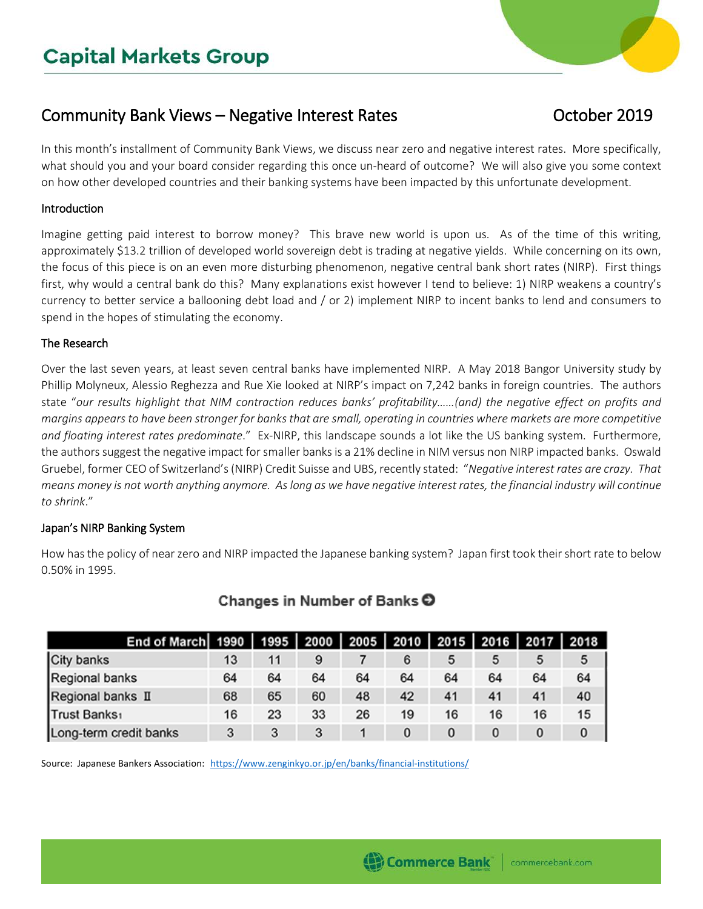# Community Bank Views – Negative Interest Rates **Community Bank Views** – Negative Interest Rates

In this month's installment of Community Bank Views, we discuss near zero and negative interest rates. More specifically, what should you and your board consider regarding this once un-heard of outcome? We will also give you some context on how other developed countries and their banking systems have been impacted by this unfortunate development.

### Introduction

Imagine getting paid interest to borrow money? This brave new world is upon us. As of the time of this writing, approximately \$13.2 trillion of developed world sovereign debt is trading at negative yields. While concerning on its own, the focus of this piece is on an even more disturbing phenomenon, negative central bank short rates (NIRP). First things first, why would a central bank do this? Many explanations exist however I tend to believe: 1) NIRP weakens a country's currency to better service a ballooning debt load and / or 2) implement NIRP to incent banks to lend and consumers to spend in the hopes of stimulating the economy.

#### The Research

Over the last seven years, at least seven central banks have implemented NIRP. A May 2018 Bangor University study by Phillip Molyneux, Alessio Reghezza and Rue Xie looked at NIRP's impact on 7,242 banks in foreign countries. The authors state "*our results highlight that NIM contraction reduces banks' profitability……(and) the negative effect on profits and margins appears to have been stronger for banks that are small, operating in countries where markets are more competitive and floating interest rates predominate*." Ex-NIRP, this landscape sounds a lot like the US banking system. Furthermore, the authors suggest the negative impact for smaller banks is a 21% decline in NIM versus non NIRP impacted banks. Oswald Gruebel, former CEO of Switzerland's (NIRP) Credit Suisse and UBS, recently stated: "*Negative interest rates are crazy. That means money is not worth anything anymore. As long as we have negative interest rates, the financial industry will continue to shrink*."

#### Japan's NIRP Banking System

How has the policy of near zero and NIRP impacted the Japanese banking system? Japan first took their short rate to below 0.50% in 1995.

| End of March   1990   1995   2000   2005   2010   2015   2016   2017   2018 |    |    |    |    |    |    |    |    |    |
|-----------------------------------------------------------------------------|----|----|----|----|----|----|----|----|----|
| City banks                                                                  | 13 | 11 | 9  |    | 6  | 5  | 5  | 5  | 5  |
| Regional banks                                                              | 64 | 64 | 64 | 64 | 64 | 64 | 64 | 64 | 64 |
| Regional banks II                                                           | 68 | 65 | 60 | 48 | 42 | 41 | 41 | 41 | 40 |
| Trust Banks <sub>1</sub>                                                    | 16 | 23 | 33 | 26 | 19 | 16 | 16 | 16 | 15 |
| Long-term credit banks                                                      | 3  | 3  | 3  |    | 0  | 0  | 0  | 0  | 0  |

# Changes in Number of Banks  $\bullet$

Source: Japanese Bankers Association: <https://www.zenginkyo.or.jp/en/banks/financial-institutions/>